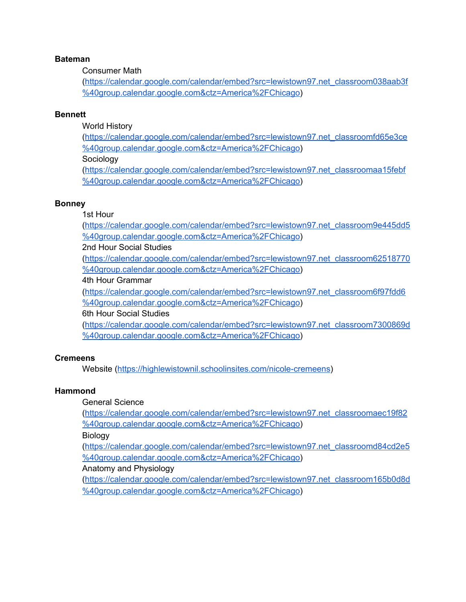#### **Bateman**

#### Consumer Math

([https://calendar.google.com/calendar/embed?src=lewistown97.net\\_classroom038aab3f](https://calendar.google.com/calendar/embed?src=lewistown97.net_classroom038aab3f%40group.calendar.google.com&ctz=America%2FChicago) [%40group.calendar.google.com&ctz=America%2FChicago](https://calendar.google.com/calendar/embed?src=lewistown97.net_classroom038aab3f%40group.calendar.google.com&ctz=America%2FChicago))

#### **Bennett**

World History

([https://calendar.google.com/calendar/embed?src=lewistown97.net\\_classroomfd65e3ce](https://calendar.google.com/calendar/embed?src=lewistown97.net_classroomfd65e3ce%40group.calendar.google.com&ctz=America%2FChicago) [%40group.calendar.google.com&ctz=America%2FChicago](https://calendar.google.com/calendar/embed?src=lewistown97.net_classroomfd65e3ce%40group.calendar.google.com&ctz=America%2FChicago)) Sociology

([https://calendar.google.com/calendar/embed?src=lewistown97.net\\_classroomaa15febf](https://calendar.google.com/calendar/embed?src=lewistown97.net_classroomaa15febf%40group.calendar.google.com&ctz=America%2FChicago) [%40group.calendar.google.com&ctz=America%2FChicago](https://calendar.google.com/calendar/embed?src=lewistown97.net_classroomaa15febf%40group.calendar.google.com&ctz=America%2FChicago))

#### **Bonney**

# 1st Hour

([https://calendar.google.com/calendar/embed?src=lewistown97.net\\_classroom9e445dd5](https://calendar.google.com/calendar/embed?src=lewistown97.net_classroom9e445dd5%40group.calendar.google.com&ctz=America%2FChicago) [%40group.calendar.google.com&ctz=America%2FChicago](https://calendar.google.com/calendar/embed?src=lewistown97.net_classroom9e445dd5%40group.calendar.google.com&ctz=America%2FChicago))

2nd Hour Social Studies

([https://calendar.google.com/calendar/embed?src=lewistown97.net\\_classroom62518770](https://calendar.google.com/calendar/embed?src=lewistown97.net_classroom62518770%40group.calendar.google.com&ctz=America%2FChicago) [%40group.calendar.google.com&ctz=America%2FChicago](https://calendar.google.com/calendar/embed?src=lewistown97.net_classroom62518770%40group.calendar.google.com&ctz=America%2FChicago))

# 4th Hour Grammar

([https://calendar.google.com/calendar/embed?src=lewistown97.net\\_classroom6f97fdd6](https://calendar.google.com/calendar/embed?src=lewistown97.net_classroom6f97fdd6%40group.calendar.google.com&ctz=America%2FChicago) [%40group.calendar.google.com&ctz=America%2FChicago](https://calendar.google.com/calendar/embed?src=lewistown97.net_classroom6f97fdd6%40group.calendar.google.com&ctz=America%2FChicago))

# 6th Hour Social Studies

([https://calendar.google.com/calendar/embed?src=lewistown97.net\\_classroom7300869d](https://calendar.google.com/calendar/embed?src=lewistown97.net_classroom7300869d%40group.calendar.google.com&ctz=America%2FChicago) [%40group.calendar.google.com&ctz=America%2FChicago](https://calendar.google.com/calendar/embed?src=lewistown97.net_classroom7300869d%40group.calendar.google.com&ctz=America%2FChicago))

#### **Cremeens**

Website [\(https://highlewistownil.schoolinsites.com/nicole-cremeens](https://highlewistownil.schoolinsites.com/nicole-cremeens))

#### **Hammond**

# General Science

([https://calendar.google.com/calendar/embed?src=lewistown97.net\\_classroomaec19f82](https://calendar.google.com/calendar/embed?src=lewistown97.net_classroomaec19f82%40group.calendar.google.com&ctz=America%2FChicago) [%40group.calendar.google.com&ctz=America%2FChicago](https://calendar.google.com/calendar/embed?src=lewistown97.net_classroomaec19f82%40group.calendar.google.com&ctz=America%2FChicago))

Biology

([https://calendar.google.com/calendar/embed?src=lewistown97.net\\_classroomd84cd2e5](https://calendar.google.com/calendar/embed?src=lewistown97.net_classroomd84cd2e5%40group.calendar.google.com&ctz=America%2FChicago) [%40group.calendar.google.com&ctz=America%2FChicago](https://calendar.google.com/calendar/embed?src=lewistown97.net_classroomd84cd2e5%40group.calendar.google.com&ctz=America%2FChicago))

# Anatomy and Physiology

([https://calendar.google.com/calendar/embed?src=lewistown97.net\\_classroom165b0d8d](https://calendar.google.com/calendar/embed?src=lewistown97.net_classroom165b0d8d%40group.calendar.google.com&ctz=America%2FChicago) [%40group.calendar.google.com&ctz=America%2FChicago](https://calendar.google.com/calendar/embed?src=lewistown97.net_classroom165b0d8d%40group.calendar.google.com&ctz=America%2FChicago))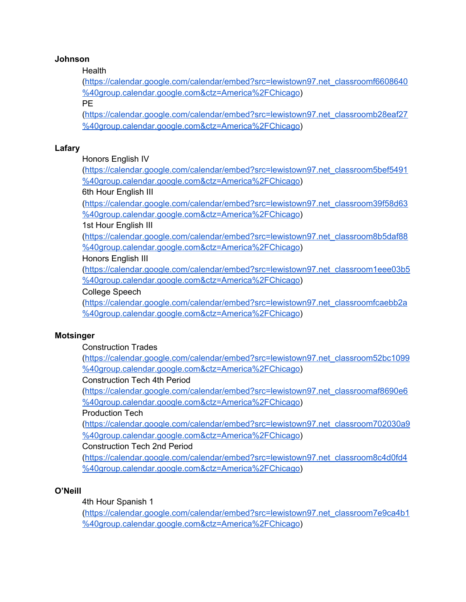# **Johnson**

# **Health**

([https://calendar.google.com/calendar/embed?src=lewistown97.net\\_classroomf6608640](https://calendar.google.com/calendar/embed?src=lewistown97.net_classroomf6608640%40group.calendar.google.com&ctz=America%2FChicago) [%40group.calendar.google.com&ctz=America%2FChicago](https://calendar.google.com/calendar/embed?src=lewistown97.net_classroomf6608640%40group.calendar.google.com&ctz=America%2FChicago))

PE

([https://calendar.google.com/calendar/embed?src=lewistown97.net\\_classroomb28eaf27](https://calendar.google.com/calendar/embed?src=lewistown97.net_classroomb28eaf27%40group.calendar.google.com&ctz=America%2FChicago) [%40group.calendar.google.com&ctz=America%2FChicago](https://calendar.google.com/calendar/embed?src=lewistown97.net_classroomb28eaf27%40group.calendar.google.com&ctz=America%2FChicago))

# **Lafary**

Honors English IV

([https://calendar.google.com/calendar/embed?src=lewistown97.net\\_classroom5bef5491](https://calendar.google.com/calendar/embed?src=lewistown97.net_classroom5bef5491%40group.calendar.google.com&ctz=America%2FChicago) [%40group.calendar.google.com&ctz=America%2FChicago](https://calendar.google.com/calendar/embed?src=lewistown97.net_classroom5bef5491%40group.calendar.google.com&ctz=America%2FChicago))

6th Hour English III

([https://calendar.google.com/calendar/embed?src=lewistown97.net\\_classroom39f58d63](https://calendar.google.com/calendar/embed?src=lewistown97.net_classroom39f58d63%40group.calendar.google.com&ctz=America%2FChicago) [%40group.calendar.google.com&ctz=America%2FChicago](https://calendar.google.com/calendar/embed?src=lewistown97.net_classroom39f58d63%40group.calendar.google.com&ctz=America%2FChicago))

# 1st Hour English III

([https://calendar.google.com/calendar/embed?src=lewistown97.net\\_classroom8b5daf88](https://calendar.google.com/calendar/embed?src=lewistown97.net_classroom8b5daf88%40group.calendar.google.com&ctz=America%2FChicago) [%40group.calendar.google.com&ctz=America%2FChicago](https://calendar.google.com/calendar/embed?src=lewistown97.net_classroom8b5daf88%40group.calendar.google.com&ctz=America%2FChicago))

# Honors English III

([https://calendar.google.com/calendar/embed?src=lewistown97.net\\_classroom1eee03b5](https://calendar.google.com/calendar/embed?src=lewistown97.net_classroom1eee03b5%40group.calendar.google.com&ctz=America%2FChicago) [%40group.calendar.google.com&ctz=America%2FChicago](https://calendar.google.com/calendar/embed?src=lewistown97.net_classroom1eee03b5%40group.calendar.google.com&ctz=America%2FChicago))

# College Speech

([https://calendar.google.com/calendar/embed?src=lewistown97.net\\_classroomfcaebb2a](https://calendar.google.com/calendar/embed?src=lewistown97.net_classroomfcaebb2a%40group.calendar.google.com&ctz=America%2FChicago) [%40group.calendar.google.com&ctz=America%2FChicago](https://calendar.google.com/calendar/embed?src=lewistown97.net_classroomfcaebb2a%40group.calendar.google.com&ctz=America%2FChicago))

# **Motsinger**

Construction Trades

([https://calendar.google.com/calendar/embed?src=lewistown97.net\\_classroom52bc1099](https://calendar.google.com/calendar/embed?src=lewistown97.net_classroom52bc1099%40group.calendar.google.com&ctz=America%2FChicago) [%40group.calendar.google.com&ctz=America%2FChicago](https://calendar.google.com/calendar/embed?src=lewistown97.net_classroom52bc1099%40group.calendar.google.com&ctz=America%2FChicago))

# Construction Tech 4th Period

([https://calendar.google.com/calendar/embed?src=lewistown97.net\\_classroomaf8690e6](https://calendar.google.com/calendar/embed?src=lewistown97.net_classroomaf8690e6%40group.calendar.google.com&ctz=America%2FChicago) [%40group.calendar.google.com&ctz=America%2FChicago](https://calendar.google.com/calendar/embed?src=lewistown97.net_classroomaf8690e6%40group.calendar.google.com&ctz=America%2FChicago))

# Production Tech

([https://calendar.google.com/calendar/embed?src=lewistown97.net\\_classroom702030a9](https://calendar.google.com/calendar/embed?src=lewistown97.net_classroom702030a9%40group.calendar.google.com&ctz=America%2FChicago) [%40group.calendar.google.com&ctz=America%2FChicago](https://calendar.google.com/calendar/embed?src=lewistown97.net_classroom702030a9%40group.calendar.google.com&ctz=America%2FChicago))

# Construction Tech 2nd Period

([https://calendar.google.com/calendar/embed?src=lewistown97.net\\_classroom8c4d0fd4](https://calendar.google.com/calendar/embed?src=lewistown97.net_classroom8c4d0fd4%40group.calendar.google.com&ctz=America%2FChicago) [%40group.calendar.google.com&ctz=America%2FChicago](https://calendar.google.com/calendar/embed?src=lewistown97.net_classroom8c4d0fd4%40group.calendar.google.com&ctz=America%2FChicago))

# **O'Neill**

4th Hour Spanish 1

([https://calendar.google.com/calendar/embed?src=lewistown97.net\\_classroom7e9ca4b1](https://calendar.google.com/calendar/embed?src=lewistown97.net_classroom7e9ca4b1%40group.calendar.google.com&ctz=America%2FChicago) [%40group.calendar.google.com&ctz=America%2FChicago](https://calendar.google.com/calendar/embed?src=lewistown97.net_classroom7e9ca4b1%40group.calendar.google.com&ctz=America%2FChicago))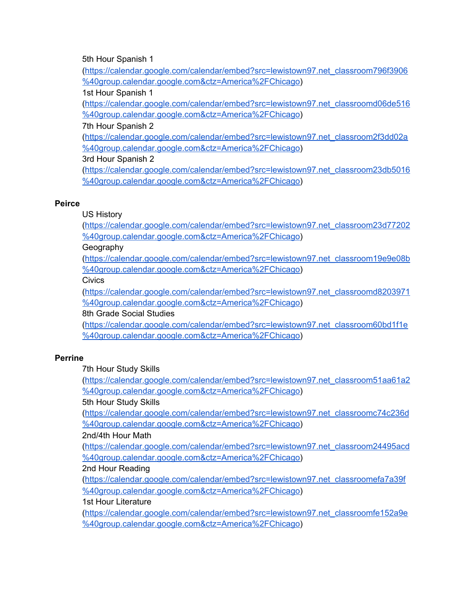5th Hour Spanish 1

([https://calendar.google.com/calendar/embed?src=lewistown97.net\\_classroom796f3906](https://calendar.google.com/calendar/embed?src=lewistown97.net_classroom796f3906%40group.calendar.google.com&ctz=America%2FChicago) [%40group.calendar.google.com&ctz=America%2FChicago](https://calendar.google.com/calendar/embed?src=lewistown97.net_classroom796f3906%40group.calendar.google.com&ctz=America%2FChicago))

1st Hour Spanish 1

([https://calendar.google.com/calendar/embed?src=lewistown97.net\\_classroomd06de516](https://calendar.google.com/calendar/embed?src=lewistown97.net_classroomd06de516%40group.calendar.google.com&ctz=America%2FChicago) [%40group.calendar.google.com&ctz=America%2FChicago](https://calendar.google.com/calendar/embed?src=lewistown97.net_classroomd06de516%40group.calendar.google.com&ctz=America%2FChicago))

7th Hour Spanish 2

([https://calendar.google.com/calendar/embed?src=lewistown97.net\\_classroom2f3dd02a](https://calendar.google.com/calendar/embed?src=lewistown97.net_classroom2f3dd02a%40group.calendar.google.com&ctz=America%2FChicago) [%40group.calendar.google.com&ctz=America%2FChicago](https://calendar.google.com/calendar/embed?src=lewistown97.net_classroom2f3dd02a%40group.calendar.google.com&ctz=America%2FChicago))

3rd Hour Spanish 2

([https://calendar.google.com/calendar/embed?src=lewistown97.net\\_classroom23db5016](https://calendar.google.com/calendar/embed?src=lewistown97.net_classroom23db5016%40group.calendar.google.com&ctz=America%2FChicago) [%40group.calendar.google.com&ctz=America%2FChicago](https://calendar.google.com/calendar/embed?src=lewistown97.net_classroom23db5016%40group.calendar.google.com&ctz=America%2FChicago))

# **Peirce**

US History

([https://calendar.google.com/calendar/embed?src=lewistown97.net\\_classroom23d77202](https://calendar.google.com/calendar/embed?src=lewistown97.net_classroom23d77202%40group.calendar.google.com&ctz=America%2FChicago) [%40group.calendar.google.com&ctz=America%2FChicago](https://calendar.google.com/calendar/embed?src=lewistown97.net_classroom23d77202%40group.calendar.google.com&ctz=America%2FChicago))

Geography

([https://calendar.google.com/calendar/embed?src=lewistown97.net\\_classroom19e9e08b](https://calendar.google.com/calendar/embed?src=lewistown97.net_classroom19e9e08b%40group.calendar.google.com&ctz=America%2FChicago) [%40group.calendar.google.com&ctz=America%2FChicago](https://calendar.google.com/calendar/embed?src=lewistown97.net_classroom19e9e08b%40group.calendar.google.com&ctz=America%2FChicago))

**Civics** 

([https://calendar.google.com/calendar/embed?src=lewistown97.net\\_classroomd8203971](https://calendar.google.com/calendar/embed?src=lewistown97.net_classroomd8203971%40group.calendar.google.com&ctz=America%2FChicago) [%40group.calendar.google.com&ctz=America%2FChicago](https://calendar.google.com/calendar/embed?src=lewistown97.net_classroomd8203971%40group.calendar.google.com&ctz=America%2FChicago))

8th Grade Social Studies

([https://calendar.google.com/calendar/embed?src=lewistown97.net\\_classroom60bd1f1e](https://calendar.google.com/calendar/embed?src=lewistown97.net_classroom60bd1f1e%40group.calendar.google.com&ctz=America%2FChicago) [%40group.calendar.google.com&ctz=America%2FChicago](https://calendar.google.com/calendar/embed?src=lewistown97.net_classroom60bd1f1e%40group.calendar.google.com&ctz=America%2FChicago))

# **Perrine**

7th Hour Study Skills

([https://calendar.google.com/calendar/embed?src=lewistown97.net\\_classroom51aa61a2](https://calendar.google.com/calendar/embed?src=lewistown97.net_classroom51aa61a2%40group.calendar.google.com&ctz=America%2FChicago) [%40group.calendar.google.com&ctz=America%2FChicago](https://calendar.google.com/calendar/embed?src=lewistown97.net_classroom51aa61a2%40group.calendar.google.com&ctz=America%2FChicago))

5th Hour Study Skills

([https://calendar.google.com/calendar/embed?src=lewistown97.net\\_classroomc74c236d](https://calendar.google.com/calendar/embed?src=lewistown97.net_classroomc74c236d%40group.calendar.google.com&ctz=America%2FChicago) [%40group.calendar.google.com&ctz=America%2FChicago](https://calendar.google.com/calendar/embed?src=lewistown97.net_classroomc74c236d%40group.calendar.google.com&ctz=America%2FChicago))

2nd/4th Hour Math

([https://calendar.google.com/calendar/embed?src=lewistown97.net\\_classroom24495acd](https://calendar.google.com/calendar/embed?src=lewistown97.net_classroom24495acd%40group.calendar.google.com&ctz=America%2FChicago) [%40group.calendar.google.com&ctz=America%2FChicago](https://calendar.google.com/calendar/embed?src=lewistown97.net_classroom24495acd%40group.calendar.google.com&ctz=America%2FChicago))

# 2nd Hour Reading

([https://calendar.google.com/calendar/embed?src=lewistown97.net\\_classroomefa7a39f](https://calendar.google.com/calendar/embed?src=lewistown97.net_classroomefa7a39f%40group.calendar.google.com&ctz=America%2FChicago) [%40group.calendar.google.com&ctz=America%2FChicago](https://calendar.google.com/calendar/embed?src=lewistown97.net_classroomefa7a39f%40group.calendar.google.com&ctz=America%2FChicago))

# 1st Hour Literature

([https://calendar.google.com/calendar/embed?src=lewistown97.net\\_classroomfe152a9e](https://calendar.google.com/calendar/embed?src=lewistown97.net_classroomfe152a9e%40group.calendar.google.com&ctz=America%2FChicago) [%40group.calendar.google.com&ctz=America%2FChicago](https://calendar.google.com/calendar/embed?src=lewistown97.net_classroomfe152a9e%40group.calendar.google.com&ctz=America%2FChicago))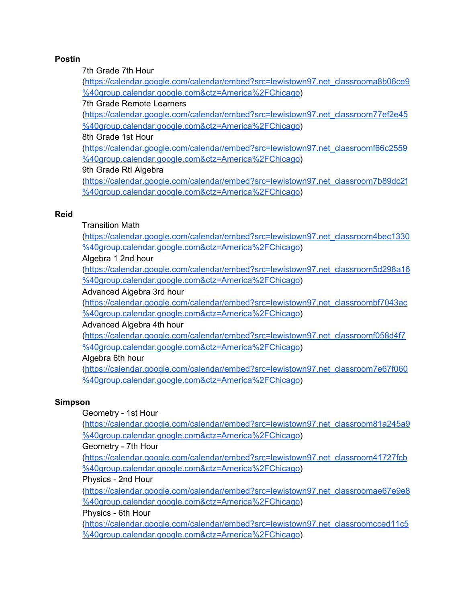# **Postin**

7th Grade 7th Hour

([https://calendar.google.com/calendar/embed?src=lewistown97.net\\_classrooma8b06ce9](https://calendar.google.com/calendar/embed?src=lewistown97.net_classrooma8b06ce9%40group.calendar.google.com&ctz=America%2FChicago) [%40group.calendar.google.com&ctz=America%2FChicago](https://calendar.google.com/calendar/embed?src=lewistown97.net_classrooma8b06ce9%40group.calendar.google.com&ctz=America%2FChicago))

# 7th Grade Remote Learners

([https://calendar.google.com/calendar/embed?src=lewistown97.net\\_classroom77ef2e45](https://calendar.google.com/calendar/embed?src=lewistown97.net_classroom77ef2e45%40group.calendar.google.com&ctz=America%2FChicago) [%40group.calendar.google.com&ctz=America%2FChicago](https://calendar.google.com/calendar/embed?src=lewistown97.net_classroom77ef2e45%40group.calendar.google.com&ctz=America%2FChicago))

8th Grade 1st Hour

([https://calendar.google.com/calendar/embed?src=lewistown97.net\\_classroomf66c2559](https://calendar.google.com/calendar/embed?src=lewistown97.net_classroomf66c2559%40group.calendar.google.com&ctz=America%2FChicago) [%40group.calendar.google.com&ctz=America%2FChicago](https://calendar.google.com/calendar/embed?src=lewistown97.net_classroomf66c2559%40group.calendar.google.com&ctz=America%2FChicago))

# 9th Grade RtI Algebra

([https://calendar.google.com/calendar/embed?src=lewistown97.net\\_classroom7b89dc2f](https://calendar.google.com/calendar/embed?src=lewistown97.net_classroom7b89dc2f%40group.calendar.google.com&ctz=America%2FChicago) [%40group.calendar.google.com&ctz=America%2FChicago](https://calendar.google.com/calendar/embed?src=lewistown97.net_classroom7b89dc2f%40group.calendar.google.com&ctz=America%2FChicago))

# **Reid**

# Transition Math

([https://calendar.google.com/calendar/embed?src=lewistown97.net\\_classroom4bec1330](https://calendar.google.com/calendar/embed?src=lewistown97.net_classroom4bec1330%40group.calendar.google.com&ctz=America%2FChicago) [%40group.calendar.google.com&ctz=America%2FChicago](https://calendar.google.com/calendar/embed?src=lewistown97.net_classroom4bec1330%40group.calendar.google.com&ctz=America%2FChicago))

# Algebra 1 2nd hour

([https://calendar.google.com/calendar/embed?src=lewistown97.net\\_classroom5d298a16](https://calendar.google.com/calendar/embed?src=lewistown97.net_classroom5d298a16%40group.calendar.google.com&ctz=America%2FChicago) [%40group.calendar.google.com&ctz=America%2FChicago](https://calendar.google.com/calendar/embed?src=lewistown97.net_classroom5d298a16%40group.calendar.google.com&ctz=America%2FChicago))

# Advanced Algebra 3rd hour

([https://calendar.google.com/calendar/embed?src=lewistown97.net\\_classroombf7043ac](https://calendar.google.com/calendar/embed?src=lewistown97.net_classroombf7043ac%40group.calendar.google.com&ctz=America%2FChicago) [%40group.calendar.google.com&ctz=America%2FChicago](https://calendar.google.com/calendar/embed?src=lewistown97.net_classroombf7043ac%40group.calendar.google.com&ctz=America%2FChicago))

# Advanced Algebra 4th hour

([https://calendar.google.com/calendar/embed?src=lewistown97.net\\_classroomf058d4f7](https://calendar.google.com/calendar/embed?src=lewistown97.net_classroomf058d4f7%40group.calendar.google.com&ctz=America%2FChicago) [%40group.calendar.google.com&ctz=America%2FChicago](https://calendar.google.com/calendar/embed?src=lewistown97.net_classroomf058d4f7%40group.calendar.google.com&ctz=America%2FChicago))

# Algebra 6th hour

([https://calendar.google.com/calendar/embed?src=lewistown97.net\\_classroom7e67f060](https://calendar.google.com/calendar/embed?src=lewistown97.net_classroom7e67f060%40group.calendar.google.com&ctz=America%2FChicago) [%40group.calendar.google.com&ctz=America%2FChicago](https://calendar.google.com/calendar/embed?src=lewistown97.net_classroom7e67f060%40group.calendar.google.com&ctz=America%2FChicago))

# **Simpson**

# Geometry - 1st Hour

([https://calendar.google.com/calendar/embed?src=lewistown97.net\\_classroom81a245a9](https://calendar.google.com/calendar/embed?src=lewistown97.net_classroom81a245a9%40group.calendar.google.com&ctz=America%2FChicago) [%40group.calendar.google.com&ctz=America%2FChicago](https://calendar.google.com/calendar/embed?src=lewistown97.net_classroom81a245a9%40group.calendar.google.com&ctz=America%2FChicago))

# Geometry - 7th Hour

([https://calendar.google.com/calendar/embed?src=lewistown97.net\\_classroom41727fcb](https://calendar.google.com/calendar/embed?src=lewistown97.net_classroom41727fcb%40group.calendar.google.com&ctz=America%2FChicago) [%40group.calendar.google.com&ctz=America%2FChicago](https://calendar.google.com/calendar/embed?src=lewistown97.net_classroom41727fcb%40group.calendar.google.com&ctz=America%2FChicago))

# Physics - 2nd Hour

([https://calendar.google.com/calendar/embed?src=lewistown97.net\\_classroomae67e9e8](https://calendar.google.com/calendar/embed?src=lewistown97.net_classroomae67e9e8%40group.calendar.google.com&ctz=America%2FChicago) [%40group.calendar.google.com&ctz=America%2FChicago](https://calendar.google.com/calendar/embed?src=lewistown97.net_classroomae67e9e8%40group.calendar.google.com&ctz=America%2FChicago))

# Physics - 6th Hour

([https://calendar.google.com/calendar/embed?src=lewistown97.net\\_classroomcced11c5](https://calendar.google.com/calendar/embed?src=lewistown97.net_classroomcced11c5%40group.calendar.google.com&ctz=America%2FChicago) [%40group.calendar.google.com&ctz=America%2FChicago](https://calendar.google.com/calendar/embed?src=lewistown97.net_classroomcced11c5%40group.calendar.google.com&ctz=America%2FChicago))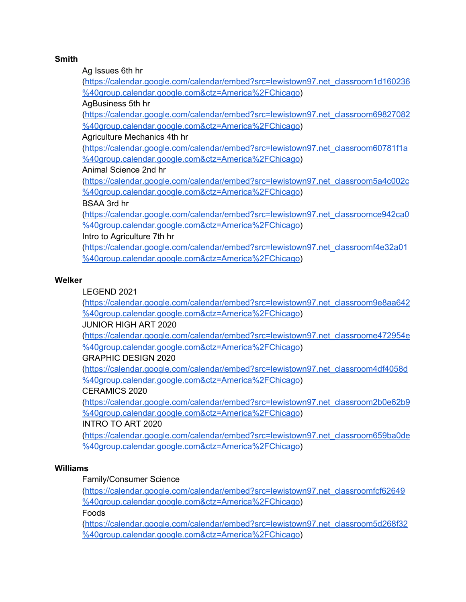# **Smith**

Ag Issues 6th hr

([https://calendar.google.com/calendar/embed?src=lewistown97.net\\_classroom1d160236](https://calendar.google.com/calendar/embed?src=lewistown97.net_classroom1d160236%40group.calendar.google.com&ctz=America%2FChicago) [%40group.calendar.google.com&ctz=America%2FChicago](https://calendar.google.com/calendar/embed?src=lewistown97.net_classroom1d160236%40group.calendar.google.com&ctz=America%2FChicago))

AgBusiness 5th hr

([https://calendar.google.com/calendar/embed?src=lewistown97.net\\_classroom69827082](https://calendar.google.com/calendar/embed?src=lewistown97.net_classroom69827082%40group.calendar.google.com&ctz=America%2FChicago) [%40group.calendar.google.com&ctz=America%2FChicago](https://calendar.google.com/calendar/embed?src=lewistown97.net_classroom69827082%40group.calendar.google.com&ctz=America%2FChicago))

Agriculture Mechanics 4th hr

([https://calendar.google.com/calendar/embed?src=lewistown97.net\\_classroom60781f1a](https://calendar.google.com/calendar/embed?src=lewistown97.net_classroom60781f1a%40group.calendar.google.com&ctz=America%2FChicago) [%40group.calendar.google.com&ctz=America%2FChicago](https://calendar.google.com/calendar/embed?src=lewistown97.net_classroom60781f1a%40group.calendar.google.com&ctz=America%2FChicago))

Animal Science 2nd hr

([https://calendar.google.com/calendar/embed?src=lewistown97.net\\_classroom5a4c002c](https://calendar.google.com/calendar/embed?src=lewistown97.net_classroom5a4c002c%40group.calendar.google.com&ctz=America%2FChicago) [%40group.calendar.google.com&ctz=America%2FChicago](https://calendar.google.com/calendar/embed?src=lewistown97.net_classroom5a4c002c%40group.calendar.google.com&ctz=America%2FChicago))

# BSAA 3rd hr

([https://calendar.google.com/calendar/embed?src=lewistown97.net\\_classroomce942ca0](https://calendar.google.com/calendar/embed?src=lewistown97.net_classroomce942ca0%40group.calendar.google.com&ctz=America%2FChicago) [%40group.calendar.google.com&ctz=America%2FChicago](https://calendar.google.com/calendar/embed?src=lewistown97.net_classroomce942ca0%40group.calendar.google.com&ctz=America%2FChicago))

Intro to Agriculture 7th hr

([https://calendar.google.com/calendar/embed?src=lewistown97.net\\_classroomf4e32a01](https://calendar.google.com/calendar/embed?src=lewistown97.net_classroomf4e32a01%40group.calendar.google.com&ctz=America%2FChicago) [%40group.calendar.google.com&ctz=America%2FChicago](https://calendar.google.com/calendar/embed?src=lewistown97.net_classroomf4e32a01%40group.calendar.google.com&ctz=America%2FChicago))

# **Welker**

LEGEND 2021

([https://calendar.google.com/calendar/embed?src=lewistown97.net\\_classroom9e8aa642](https://calendar.google.com/calendar/embed?src=lewistown97.net_classroom9e8aa642%40group.calendar.google.com&ctz=America%2FChicago) [%40group.calendar.google.com&ctz=America%2FChicago](https://calendar.google.com/calendar/embed?src=lewistown97.net_classroom9e8aa642%40group.calendar.google.com&ctz=America%2FChicago))

JUNIOR HIGH ART 2020

([https://calendar.google.com/calendar/embed?src=lewistown97.net\\_classroome472954e](https://calendar.google.com/calendar/embed?src=lewistown97.net_classroome472954e%40group.calendar.google.com&ctz=America%2FChicago) [%40group.calendar.google.com&ctz=America%2FChicago](https://calendar.google.com/calendar/embed?src=lewistown97.net_classroome472954e%40group.calendar.google.com&ctz=America%2FChicago))

GRAPHIC DESIGN 2020

([https://calendar.google.com/calendar/embed?src=lewistown97.net\\_classroom4df4058d](https://calendar.google.com/calendar/embed?src=lewistown97.net_classroom4df4058d%40group.calendar.google.com&ctz=America%2FChicago) [%40group.calendar.google.com&ctz=America%2FChicago](https://calendar.google.com/calendar/embed?src=lewistown97.net_classroom4df4058d%40group.calendar.google.com&ctz=America%2FChicago))

# CERAMICS 2020

([https://calendar.google.com/calendar/embed?src=lewistown97.net\\_classroom2b0e62b9](https://calendar.google.com/calendar/embed?src=lewistown97.net_classroom2b0e62b9%40group.calendar.google.com&ctz=America%2FChicago) [%40group.calendar.google.com&ctz=America%2FChicago](https://calendar.google.com/calendar/embed?src=lewistown97.net_classroom2b0e62b9%40group.calendar.google.com&ctz=America%2FChicago))

# INTRO TO ART 2020

([https://calendar.google.com/calendar/embed?src=lewistown97.net\\_classroom659ba0de](https://calendar.google.com/calendar/embed?src=lewistown97.net_classroom659ba0de%40group.calendar.google.com&ctz=America%2FChicago) [%40group.calendar.google.com&ctz=America%2FChicago](https://calendar.google.com/calendar/embed?src=lewistown97.net_classroom659ba0de%40group.calendar.google.com&ctz=America%2FChicago))

# **Williams**

# Family/Consumer Science

([https://calendar.google.com/calendar/embed?src=lewistown97.net\\_classroomfcf62649](https://calendar.google.com/calendar/embed?src=lewistown97.net_classroomfcf62649%40group.calendar.google.com&ctz=America%2FChicago) [%40group.calendar.google.com&ctz=America%2FChicago](https://calendar.google.com/calendar/embed?src=lewistown97.net_classroomfcf62649%40group.calendar.google.com&ctz=America%2FChicago))

Foods

([https://calendar.google.com/calendar/embed?src=lewistown97.net\\_classroom5d268f32](https://calendar.google.com/calendar/embed?src=lewistown97.net_classroom5d268f32%40group.calendar.google.com&ctz=America%2FChicago) [%40group.calendar.google.com&ctz=America%2FChicago](https://calendar.google.com/calendar/embed?src=lewistown97.net_classroom5d268f32%40group.calendar.google.com&ctz=America%2FChicago))